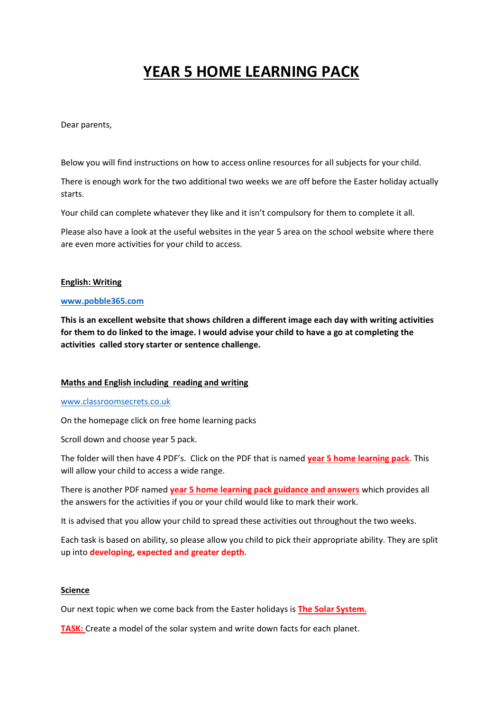# **YEAR 5 HOME LEARNING PACK**

Dear parents,

Below you will find instructions on how to access online resources for all subjects for your child.

There is enough work for the two additional two weeks we are off before the Easter holiday actually starts.

Your child can complete whatever they like and it isn't compulsory for them to complete it all.

Please also have a look at the useful websites in the year 5 area on the school website where there are even more activities for your child to access.

## **English: Writing**

#### **[www.pobble365.com](http://www.pobble365.com/)**

**This is an excellent website that shows children a different image each day with writing activities for them to do linked to the image. I would advise your child to have a go at completing the activities called story starter or sentence challenge.**

## **Maths and English including reading and writing**

#### [www.classroomsecrets.co.uk](http://www.classroomsecrets.co.uk/)

On the homepage click on free home learning packs

Scroll down and choose year 5 pack.

The folder will then have 4 PDF's. Click on the PDF that is named **year 5 home learning pack**. This will allow your child to access a wide range.

There is another PDF named **year 5 home learning pack guidance and answers** which provides all the answers for the activities if you or your child would like to mark their work.

It is advised that you allow your child to spread these activities out throughout the two weeks.

Each task is based on ability, so please allow you child to pick their appropriate ability. They are split up into **developing, expected and greater depth.**

## **Science**

Our next topic when we come back from the Easter holidays is **The Solar System.**

**TASK:** Create a model of the solar system and write down facts for each planet.